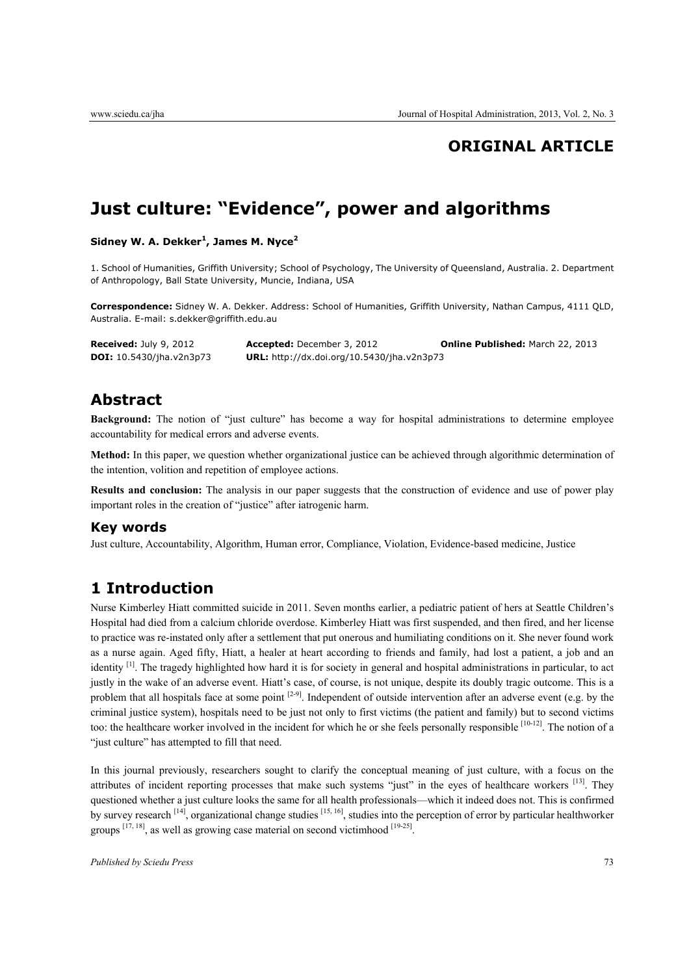# **ORIGINAL ARTICLE**

# **Just culture: "Evidence", power and algorithms**

**Sidney W. A. Dekker1, James M. Nyce2**

1. School of Humanities, Griffith University; School of Psychology, The University of Queensland, Australia. 2. Department of Anthropology, Ball State University, Muncie, Indiana, USA

**Correspondence:** Sidney W. A. Dekker. Address: School of Humanities, Griffith University, Nathan Campus, 4111 QLD, Australia. E-mail: s.dekker@griffith.edu.au

**Received:** July 9, 2012 **Accepted:** December 3, 2012 **Online Published:** March 22, 2013 **DOI:** 10.5430/jha.v2n3p73 **URL:** http://dx.doi.org/10.5430/jha.v2n3p73

#### **Abstract**

**Background:** The notion of "just culture" has become a way for hospital administrations to determine employee accountability for medical errors and adverse events.

**Method:** In this paper, we question whether organizational justice can be achieved through algorithmic determination of the intention, volition and repetition of employee actions.

**Results and conclusion:** The analysis in our paper suggests that the construction of evidence and use of power play important roles in the creation of "justice" after iatrogenic harm.

#### **Key words**

Just culture, Accountability, Algorithm, Human error, Compliance, Violation, Evidence-based medicine, Justice

### **1 Introduction**

Nurse Kimberley Hiatt committed suicide in 2011. Seven months earlier, a pediatric patient of hers at Seattle Children's Hospital had died from a calcium chloride overdose. Kimberley Hiatt was first suspended, and then fired, and her license to practice was re-instated only after a settlement that put onerous and humiliating conditions on it. She never found work as a nurse again. Aged fifty, Hiatt, a healer at heart according to friends and family, had lost a patient, a job and an identity  $[1]$ . The tragedy highlighted how hard it is for society in general and hospital administrations in particular, to act justly in the wake of an adverse event. Hiatt's case, of course, is not unique, despite its doubly tragic outcome. This is a problem that all hospitals face at some point  $[2-9]$ . Independent of outside intervention after an adverse event (e.g. by the criminal justice system), hospitals need to be just not only to first victims (the patient and family) but to second victims too: the healthcare worker involved in the incident for which he or she feels personally responsible [10-12]. The notion of a "just culture" has attempted to fill that need.

In this journal previously, researchers sought to clarify the conceptual meaning of just culture, with a focus on the attributes of incident reporting processes that make such systems "just" in the eyes of healthcare workers  $[13]$ . They questioned whether a just culture looks the same for all health professionals—which it indeed does not. This is confirmed by survey research [14], organizational change studies [15, 16], studies into the perception of error by particular healthworker groups  $[17, 18]$ , as well as growing case material on second victimhood  $[19-25]$ .

*Published by Sciedu Press* 73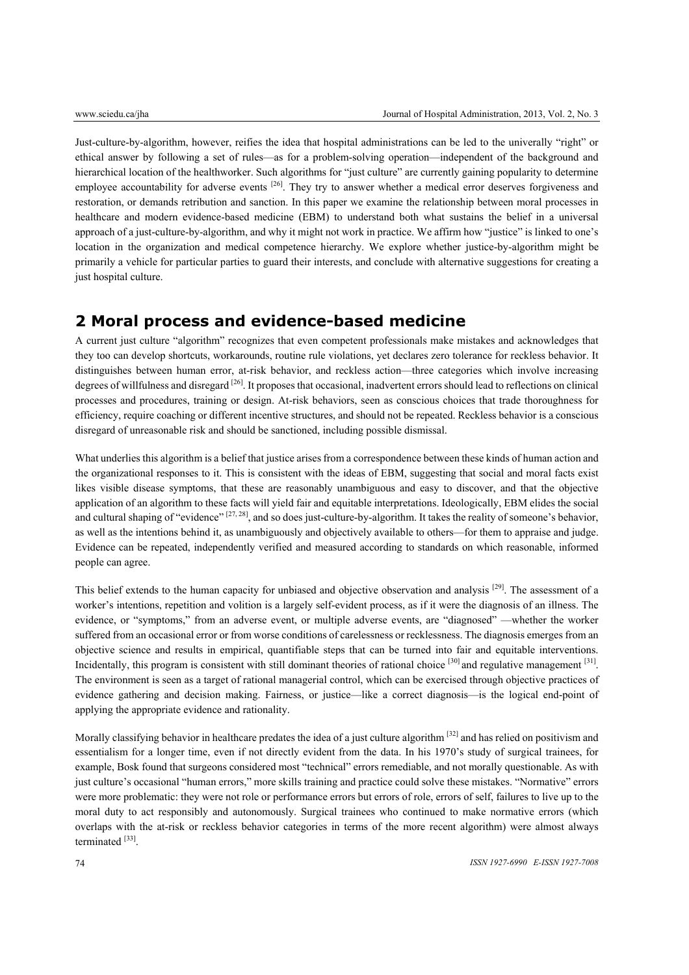Just-culture-by-algorithm, however, reifies the idea that hospital administrations can be led to the univerally "right" or ethical answer by following a set of rules—as for a problem-solving operation—independent of the background and hierarchical location of the healthworker. Such algorithms for "just culture" are currently gaining popularity to determine employee accountability for adverse events <sup>[26]</sup>. They try to answer whether a medical error deserves forgiveness and restoration, or demands retribution and sanction. In this paper we examine the relationship between moral processes in healthcare and modern evidence-based medicine (EBM) to understand both what sustains the belief in a universal approach of a just-culture-by-algorithm, and why it might not work in practice. We affirm how "justice" is linked to one's location in the organization and medical competence hierarchy. We explore whether justice-by-algorithm might be primarily a vehicle for particular parties to guard their interests, and conclude with alternative suggestions for creating a just hospital culture.

### **2 Moral process and evidence-based medicine**

A current just culture "algorithm" recognizes that even competent professionals make mistakes and acknowledges that they too can develop shortcuts, workarounds, routine rule violations, yet declares zero tolerance for reckless behavior. It distinguishes between human error, at-risk behavior, and reckless action—three categories which involve increasing degrees of willfulness and disregard <sup>[26]</sup>. It proposes that occasional, inadvertent errors should lead to reflections on clinical processes and procedures, training or design. At-risk behaviors, seen as conscious choices that trade thoroughness for efficiency, require coaching or different incentive structures, and should not be repeated. Reckless behavior is a conscious disregard of unreasonable risk and should be sanctioned, including possible dismissal.

What underlies this algorithm is a belief that justice arises from a correspondence between these kinds of human action and the organizational responses to it. This is consistent with the ideas of EBM, suggesting that social and moral facts exist likes visible disease symptoms, that these are reasonably unambiguous and easy to discover, and that the objective application of an algorithm to these facts will yield fair and equitable interpretations. Ideologically, EBM elides the social and cultural shaping of "evidence"  $[27, 28]$ , and so does just-culture-by-algorithm. It takes the reality of someone's behavior, as well as the intentions behind it, as unambiguously and objectively available to others—for them to appraise and judge. Evidence can be repeated, independently verified and measured according to standards on which reasonable, informed people can agree.

This belief extends to the human capacity for unbiased and objective observation and analysis [29]. The assessment of a worker's intentions, repetition and volition is a largely self-evident process, as if it were the diagnosis of an illness. The evidence, or "symptoms," from an adverse event, or multiple adverse events, are "diagnosed" —whether the worker suffered from an occasional error or from worse conditions of carelessness or recklessness. The diagnosis emerges from an objective science and results in empirical, quantifiable steps that can be turned into fair and equitable interventions. Incidentally, this program is consistent with still dominant theories of rational choice [30] and regulative management [31]. The environment is seen as a target of rational managerial control, which can be exercised through objective practices of evidence gathering and decision making. Fairness, or justice—like a correct diagnosis—is the logical end-point of applying the appropriate evidence and rationality.

Morally classifying behavior in healthcare predates the idea of a just culture algorithm <sup>[32]</sup> and has relied on positivism and essentialism for a longer time, even if not directly evident from the data. In his 1970's study of surgical trainees, for example, Bosk found that surgeons considered most "technical" errors remediable, and not morally questionable. As with just culture's occasional "human errors," more skills training and practice could solve these mistakes. "Normative" errors were more problematic: they were not role or performance errors but errors of role, errors of self, failures to live up to the moral duty to act responsibly and autonomously. Surgical trainees who continued to make normative errors (which overlaps with the at-risk or reckless behavior categories in terms of the more recent algorithm) were almost always terminated [33].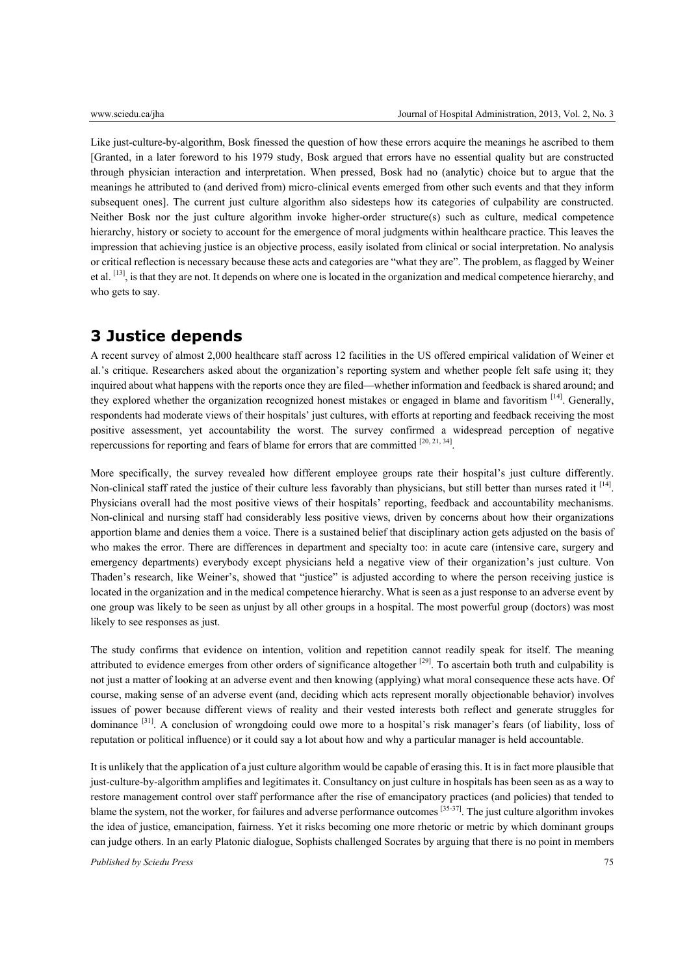Like just-culture-by-algorithm, Bosk finessed the question of how these errors acquire the meanings he ascribed to them [Granted, in a later foreword to his 1979 study, Bosk argued that errors have no essential quality but are constructed through physician interaction and interpretation. When pressed, Bosk had no (analytic) choice but to argue that the meanings he attributed to (and derived from) micro-clinical events emerged from other such events and that they inform subsequent ones]. The current just culture algorithm also sidesteps how its categories of culpability are constructed. Neither Bosk nor the just culture algorithm invoke higher-order structure(s) such as culture, medical competence hierarchy, history or society to account for the emergence of moral judgments within healthcare practice. This leaves the impression that achieving justice is an objective process, easily isolated from clinical or social interpretation. No analysis or critical reflection is necessary because these acts and categories are "what they are". The problem, as flagged by Weiner et al. <sup>[13]</sup>, is that they are not. It depends on where one is located in the organization and medical competence hierarchy, and who gets to say.

# **3 Justice depends**

A recent survey of almost 2,000 healthcare staff across 12 facilities in the US offered empirical validation of Weiner et al.'s critique. Researchers asked about the organization's reporting system and whether people felt safe using it; they inquired about what happens with the reports once they are filed—whether information and feedback is shared around; and they explored whether the organization recognized honest mistakes or engaged in blame and favoritism  $[14]$ . Generally, respondents had moderate views of their hospitals' just cultures, with efforts at reporting and feedback receiving the most positive assessment, yet accountability the worst. The survey confirmed a widespread perception of negative repercussions for reporting and fears of blame for errors that are committed [20, 21, 34].

More specifically, the survey revealed how different employee groups rate their hospital's just culture differently. Non-clinical staff rated the justice of their culture less favorably than physicians, but still better than nurses rated it [14]. Physicians overall had the most positive views of their hospitals' reporting, feedback and accountability mechanisms. Non-clinical and nursing staff had considerably less positive views, driven by concerns about how their organizations apportion blame and denies them a voice. There is a sustained belief that disciplinary action gets adjusted on the basis of who makes the error. There are differences in department and specialty too: in acute care (intensive care, surgery and emergency departments) everybody except physicians held a negative view of their organization's just culture. Von Thaden's research, like Weiner's, showed that "justice" is adjusted according to where the person receiving justice is located in the organization and in the medical competence hierarchy. What is seen as a just response to an adverse event by one group was likely to be seen as unjust by all other groups in a hospital. The most powerful group (doctors) was most likely to see responses as just.

The study confirms that evidence on intention, volition and repetition cannot readily speak for itself. The meaning attributed to evidence emerges from other orders of significance altogether [29]. To ascertain both truth and culpability is not just a matter of looking at an adverse event and then knowing (applying) what moral consequence these acts have. Of course, making sense of an adverse event (and, deciding which acts represent morally objectionable behavior) involves issues of power because different views of reality and their vested interests both reflect and generate struggles for dominance  $[31]$ . A conclusion of wrongdoing could owe more to a hospital's risk manager's fears (of liability, loss of reputation or political influence) or it could say a lot about how and why a particular manager is held accountable.

It is unlikely that the application of a just culture algorithm would be capable of erasing this. It is in fact more plausible that just-culture-by-algorithm amplifies and legitimates it. Consultancy on just culture in hospitals has been seen as as a way to restore management control over staff performance after the rise of emancipatory practices (and policies) that tended to blame the system, not the worker, for failures and adverse performance outcomes [35-37]. The just culture algorithm invokes the idea of justice, emancipation, fairness. Yet it risks becoming one more rhetoric or metric by which dominant groups can judge others. In an early Platonic dialogue, Sophists challenged Socrates by arguing that there is no point in members

*Published by Sciedu Press* 75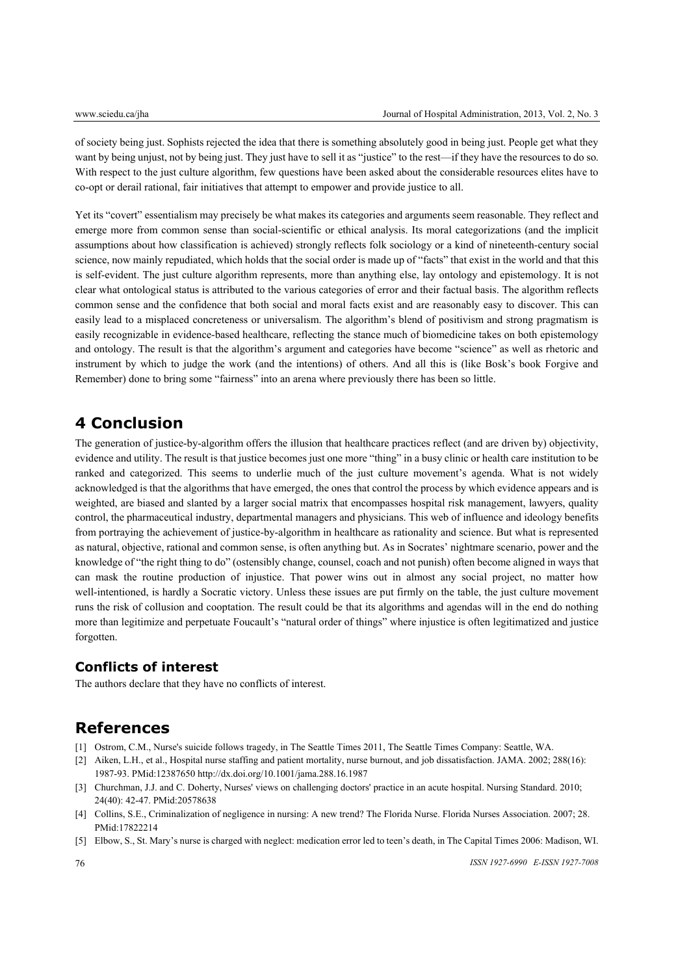of society being just. Sophists rejected the idea that there is something absolutely good in being just. People get what they want by being unjust, not by being just. They just have to sell it as "justice" to the rest—if they have the resources to do so. With respect to the just culture algorithm, few questions have been asked about the considerable resources elites have to co-opt or derail rational, fair initiatives that attempt to empower and provide justice to all.

Yet its "covert" essentialism may precisely be what makes its categories and arguments seem reasonable. They reflect and emerge more from common sense than social-scientific or ethical analysis. Its moral categorizations (and the implicit assumptions about how classification is achieved) strongly reflects folk sociology or a kind of nineteenth-century social science, now mainly repudiated, which holds that the social order is made up of "facts" that exist in the world and that this is self-evident. The just culture algorithm represents, more than anything else, lay ontology and epistemology. It is not clear what ontological status is attributed to the various categories of error and their factual basis. The algorithm reflects common sense and the confidence that both social and moral facts exist and are reasonably easy to discover. This can easily lead to a misplaced concreteness or universalism. The algorithm's blend of positivism and strong pragmatism is easily recognizable in evidence-based healthcare, reflecting the stance much of biomedicine takes on both epistemology and ontology. The result is that the algorithm's argument and categories have become "science" as well as rhetoric and instrument by which to judge the work (and the intentions) of others. And all this is (like Bosk's book Forgive and Remember) done to bring some "fairness" into an arena where previously there has been so little.

### **4 Conclusion**

The generation of justice-by-algorithm offers the illusion that healthcare practices reflect (and are driven by) objectivity, evidence and utility. The result is that justice becomes just one more "thing" in a busy clinic or health care institution to be ranked and categorized. This seems to underlie much of the just culture movement's agenda. What is not widely acknowledged is that the algorithms that have emerged, the ones that control the process by which evidence appears and is weighted, are biased and slanted by a larger social matrix that encompasses hospital risk management, lawyers, quality control, the pharmaceutical industry, departmental managers and physicians. This web of influence and ideology benefits from portraying the achievement of justice-by-algorithm in healthcare as rationality and science. But what is represented as natural, objective, rational and common sense, is often anything but. As in Socrates' nightmare scenario, power and the knowledge of "the right thing to do" (ostensibly change, counsel, coach and not punish) often become aligned in ways that can mask the routine production of injustice. That power wins out in almost any social project, no matter how well-intentioned, is hardly a Socratic victory. Unless these issues are put firmly on the table, the just culture movement runs the risk of collusion and cooptation. The result could be that its algorithms and agendas will in the end do nothing more than legitimize and perpetuate Foucault's "natural order of things" where injustice is often legitimatized and justice forgotten.

#### **Conflicts of interest**

The authors declare that they have no conflicts of interest.

# **References**

- [1] Ostrom, C.M., Nurse's suicide follows tragedy, in The Seattle Times 2011, The Seattle Times Company: Seattle, WA.
- [2] Aiken, L.H., et al., Hospital nurse staffing and patient mortality, nurse burnout, and job dissatisfaction. JAMA. 2002; 288(16): 1987-93. PMid:12387650 http://dx.doi.org/10.1001/jama.288.16.1987
- [3] Churchman, J.J. and C. Doherty, Nurses' views on challenging doctors' practice in an acute hospital. Nursing Standard. 2010; 24(40): 42-47. PMid:20578638
- [4] Collins, S.E., Criminalization of negligence in nursing: A new trend? The Florida Nurse. Florida Nurses Association. 2007; 28. PMid:17822214
- [5] Elbow, S., St. Mary's nurse is charged with neglect: medication error led to teen's death, in The Capital Times 2006: Madison, WI.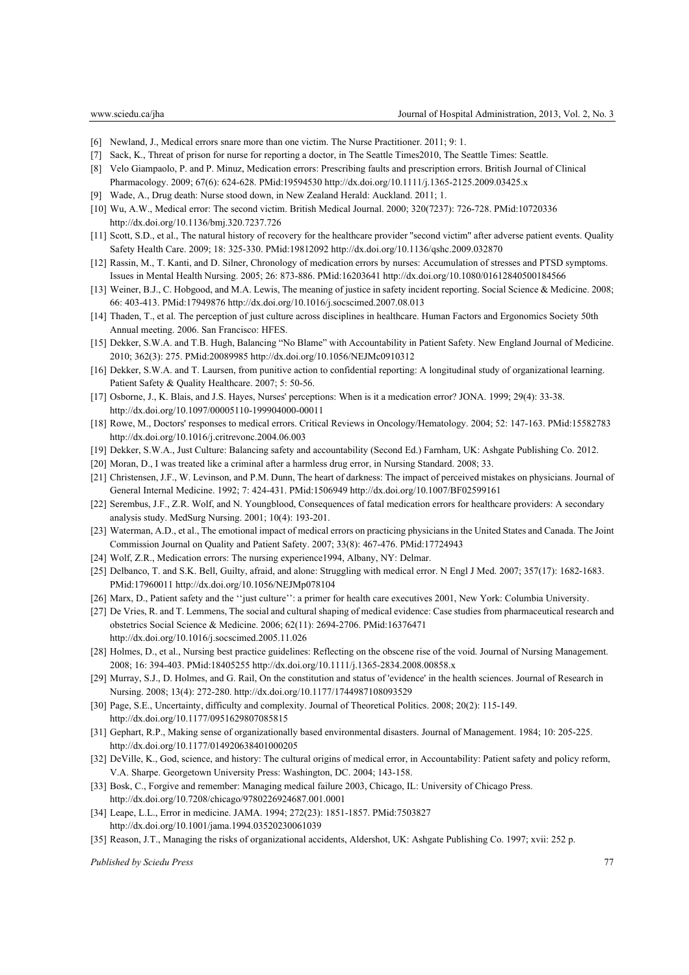- [6] Newland, J., Medical errors snare more than one victim. The Nurse Practitioner. 2011; 9: 1.
- [7] Sack, K., Threat of prison for nurse for reporting a doctor, in The Seattle Times2010, The Seattle Times: Seattle.
- [8] Velo Giampaolo, P. and P. Minuz, Medication errors: Prescribing faults and prescription errors. British Journal of Clinical Pharmacology. 2009; 67(6): 624-628. PMid:19594530 http://dx.doi.org/10.1111/j.1365-2125.2009.03425.x
- [9] Wade, A., Drug death: Nurse stood down, in New Zealand Herald: Auckland. 2011; 1.
- [10] Wu, A.W., Medical error: The second victim. British Medical Journal. 2000; 320(7237): 726-728. PMid:10720336 http://dx.doi.org/10.1136/bmj.320.7237.726
- [11] Scott, S.D., et al., The natural history of recovery for the healthcare provider ''second victim'' after adverse patient events. Quality Safety Health Care. 2009; 18: 325-330. PMid:19812092 http://dx.doi.org/10.1136/qshc.2009.032870
- [12] Rassin, M., T. Kanti, and D. Silner, Chronology of medication errors by nurses: Accumulation of stresses and PTSD symptoms. Issues in Mental Health Nursing. 2005; 26: 873-886. PMid:16203641 http://dx.doi.org/10.1080/01612840500184566
- [13] Weiner, B.J., C. Hobgood, and M.A. Lewis, The meaning of justice in safety incident reporting. Social Science & Medicine. 2008; 66: 403-413. PMid:17949876 http://dx.doi.org/10.1016/j.socscimed.2007.08.013
- [14] Thaden, T., et al. The perception of just culture across disciplines in healthcare. Human Factors and Ergonomics Society 50th Annual meeting. 2006. San Francisco: HFES.
- [15] Dekker, S.W.A. and T.B. Hugh, Balancing "No Blame" with Accountability in Patient Safety. New England Journal of Medicine. 2010; 362(3): 275. PMid:20089985 http://dx.doi.org/10.1056/NEJMc0910312
- [16] Dekker, S.W.A. and T. Laursen, from punitive action to confidential reporting: A longitudinal study of organizational learning. Patient Safety & Quality Healthcare. 2007; 5: 50-56.
- [17] Osborne, J., K. Blais, and J.S. Hayes, Nurses' perceptions: When is it a medication error? JONA. 1999; 29(4): 33-38. http://dx.doi.org/10.1097/00005110-199904000-00011
- [18] Rowe, M., Doctors' responses to medical errors. Critical Reviews in Oncology/Hematology. 2004; 52: 147-163. PMid:15582783 http://dx.doi.org/10.1016/j.critrevonc.2004.06.003
- [19] Dekker, S.W.A., Just Culture: Balancing safety and accountability (Second Ed.) Farnham, UK: Ashgate Publishing Co. 2012.
- [20] Moran, D., I was treated like a criminal after a harmless drug error, in Nursing Standard. 2008; 33.
- [21] Christensen, J.F., W. Levinson, and P.M. Dunn, The heart of darkness: The impact of perceived mistakes on physicians. Journal of General Internal Medicine. 1992; 7: 424-431. PMid:1506949 http://dx.doi.org/10.1007/BF02599161
- [22] Serembus, J.F., Z.R. Wolf, and N. Youngblood, Consequences of fatal medication errors for healthcare providers: A secondary analysis study. MedSurg Nursing. 2001; 10(4): 193-201.
- [23] Waterman, A.D., et al., The emotional impact of medical errors on practicing physicians in the United States and Canada. The Joint Commission Journal on Quality and Patient Safety. 2007; 33(8): 467-476. PMid:17724943
- [24] Wolf, Z.R., Medication errors: The nursing experience1994, Albany, NY: Delmar.
- [25] Delbanco, T. and S.K. Bell, Guilty, afraid, and alone: Struggling with medical error. N Engl J Med. 2007; 357(17): 1682-1683. PMid:17960011 http://dx.doi.org/10.1056/NEJMp078104
- [26] Marx, D., Patient safety and the ''just culture'': a primer for health care executives 2001, New York: Columbia University.
- [27] De Vries, R. and T. Lemmens, The social and cultural shaping of medical evidence: Case studies from pharmaceutical research and obstetrics Social Science & Medicine. 2006; 62(11): 2694-2706. PMid:16376471 http://dx.doi.org/10.1016/j.socscimed.2005.11.026
- [28] Holmes, D., et al., Nursing best practice guidelines: Reflecting on the obscene rise of the void. Journal of Nursing Management. 2008; 16: 394-403. PMid:18405255 http://dx.doi.org/10.1111/j.1365-2834.2008.00858.x
- [29] Murray, S.J., D. Holmes, and G. Rail, On the constitution and status of 'evidence' in the health sciences. Journal of Research in Nursing. 2008; 13(4): 272-280. http://dx.doi.org/10.1177/1744987108093529
- [30] Page, S.E., Uncertainty, difficulty and complexity. Journal of Theoretical Politics. 2008; 20(2): 115-149. http://dx.doi.org/10.1177/0951629807085815
- [31] Gephart, R.P., Making sense of organizationally based environmental disasters. Journal of Management. 1984; 10: 205-225. http://dx.doi.org/10.1177/014920638401000205
- [32] DeVille, K., God, science, and history: The cultural origins of medical error, in Accountability: Patient safety and policy reform, V.A. Sharpe. Georgetown University Press: Washington, DC. 2004; 143-158.
- [33] Bosk, C., Forgive and remember: Managing medical failure 2003, Chicago, IL: University of Chicago Press. http://dx.doi.org/10.7208/chicago/9780226924687.001.0001
- [34] Leape, L.L., Error in medicine. JAMA. 1994; 272(23): 1851-1857. PMid:7503827 http://dx.doi.org/10.1001/jama.1994.03520230061039
- [35] Reason, J.T., Managing the risks of organizational accidents, Aldershot, UK: Ashgate Publishing Co. 1997; xvii: 252 p.

*Published by Sciedu Press* 77